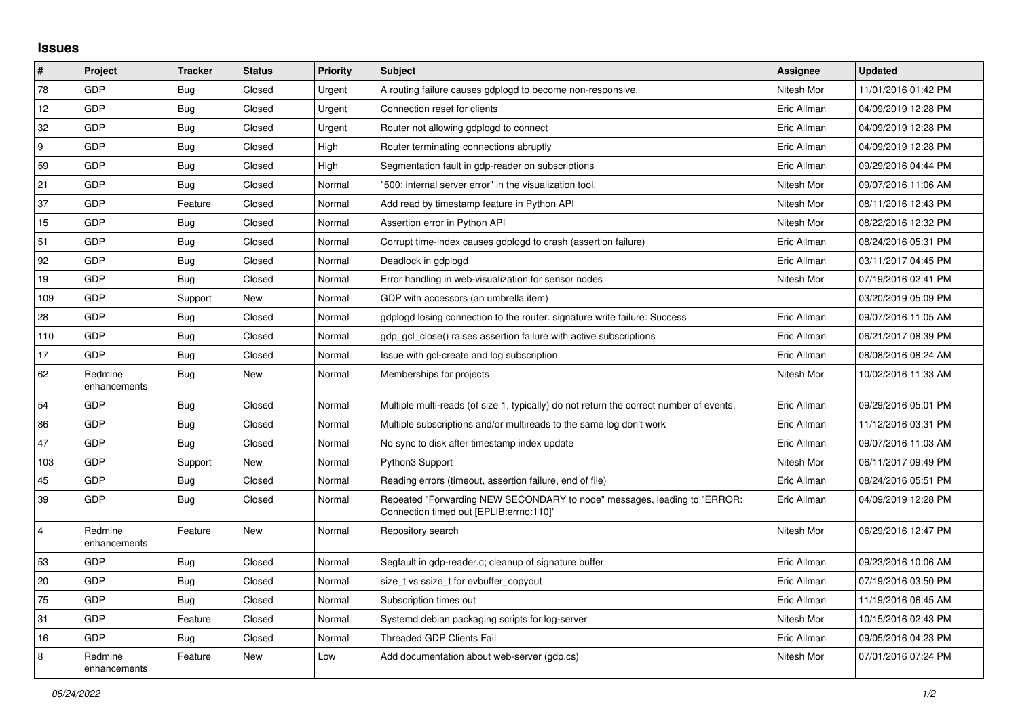## **Issues**

| $\sharp$                | Project                 | <b>Tracker</b> | <b>Status</b> | <b>Priority</b> | <b>Subject</b>                                                                                                      | Assignee    | <b>Updated</b>      |
|-------------------------|-------------------------|----------------|---------------|-----------------|---------------------------------------------------------------------------------------------------------------------|-------------|---------------------|
| 78                      | GDP                     | <b>Bug</b>     | Closed        | Urgent          | A routing failure causes gdplogd to become non-responsive.                                                          | Nitesh Mor  | 11/01/2016 01:42 PM |
| 12                      | GDP                     | <b>Bug</b>     | Closed        | Urgent          | Connection reset for clients                                                                                        | Eric Allman | 04/09/2019 12:28 PM |
| 32                      | <b>GDP</b>              | Bug            | Closed        | Urgent          | Router not allowing gdplogd to connect                                                                              | Eric Allman | 04/09/2019 12:28 PM |
| 9                       | GDP                     | Bug            | Closed        | High            | Router terminating connections abruptly                                                                             | Eric Allman | 04/09/2019 12:28 PM |
| 59                      | GDP                     | Bug            | Closed        | High            | Segmentation fault in gdp-reader on subscriptions                                                                   | Eric Allman | 09/29/2016 04:44 PM |
| 21                      | GDP                     | Bug            | Closed        | Normal          | "500: internal server error" in the visualization tool.                                                             | Nitesh Mor  | 09/07/2016 11:06 AM |
| 37                      | <b>GDP</b>              | Feature        | Closed        | Normal          | Add read by timestamp feature in Python API                                                                         | Nitesh Mor  | 08/11/2016 12:43 PM |
| 15                      | GDP                     | <b>Bug</b>     | Closed        | Normal          | Assertion error in Python API                                                                                       | Nitesh Mor  | 08/22/2016 12:32 PM |
| 51                      | GDP                     | <b>Bug</b>     | Closed        | Normal          | Corrupt time-index causes gdplogd to crash (assertion failure)                                                      | Eric Allman | 08/24/2016 05:31 PM |
| 92                      | <b>GDP</b>              | Bug            | Closed        | Normal          | Deadlock in gdplogd                                                                                                 | Eric Allman | 03/11/2017 04:45 PM |
| 19                      | GDP                     | Bug            | Closed        | Normal          | Error handling in web-visualization for sensor nodes                                                                | Nitesh Mor  | 07/19/2016 02:41 PM |
| 109                     | GDP                     | Support        | New           | Normal          | GDP with accessors (an umbrella item)                                                                               |             | 03/20/2019 05:09 PM |
| 28                      | <b>GDP</b>              | Bug            | Closed        | Normal          | gdplogd losing connection to the router, signature write failure: Success                                           | Eric Allman | 09/07/2016 11:05 AM |
| 110                     | GDP                     | <b>Bug</b>     | Closed        | Normal          | gdp gcl close() raises assertion failure with active subscriptions                                                  | Eric Allman | 06/21/2017 08:39 PM |
| 17                      | GDP                     | <b>Bug</b>     | Closed        | Normal          | Issue with gcl-create and log subscription                                                                          | Eric Allman | 08/08/2016 08:24 AM |
| 62                      | Redmine<br>enhancements | <b>Bug</b>     | New           | Normal          | Memberships for projects                                                                                            | Nitesh Mor  | 10/02/2016 11:33 AM |
| 54                      | GDP                     | <b>Bug</b>     | Closed        | Normal          | Multiple multi-reads (of size 1, typically) do not return the correct number of events.                             | Eric Allman | 09/29/2016 05:01 PM |
| 86                      | <b>GDP</b>              | Bug            | Closed        | Normal          | Multiple subscriptions and/or multireads to the same log don't work                                                 | Eric Allman | 11/12/2016 03:31 PM |
| 47                      | GDP                     | Bug            | Closed        | Normal          | No sync to disk after timestamp index update                                                                        | Eric Allman | 09/07/2016 11:03 AM |
| 103                     | GDP                     | Support        | New           | Normal          | Python3 Support                                                                                                     | Nitesh Mor  | 06/11/2017 09:49 PM |
| 45                      | <b>GDP</b>              | Bug            | Closed        | Normal          | Reading errors (timeout, assertion failure, end of file)                                                            | Eric Allman | 08/24/2016 05:51 PM |
| 39                      | GDP                     | Bug            | Closed        | Normal          | Repeated "Forwarding NEW SECONDARY to node" messages, leading to "ERROR:<br>Connection timed out [EPLIB:errno:110]" | Eric Allman | 04/09/2019 12:28 PM |
| $\overline{\mathbf{4}}$ | Redmine<br>enhancements | Feature        | <b>New</b>    | Normal          | Repository search                                                                                                   | Nitesh Mor  | 06/29/2016 12:47 PM |
| 53                      | <b>GDP</b>              | Bug            | Closed        | Normal          | Segfault in gdp-reader.c; cleanup of signature buffer                                                               | Eric Allman | 09/23/2016 10:06 AM |
| 20                      | <b>GDP</b>              | <b>Bug</b>     | Closed        | Normal          | size_t vs ssize_t for evbuffer_copyout                                                                              | Eric Allman | 07/19/2016 03:50 PM |
| 75                      | GDP                     | Bug            | Closed        | Normal          | Subscription times out                                                                                              | Eric Allman | 11/19/2016 06:45 AM |
| 31                      | GDP                     | Feature        | Closed        | Normal          | Systemd debian packaging scripts for log-server                                                                     | Nitesh Mor  | 10/15/2016 02:43 PM |
| 16                      | <b>GDP</b>              | Bug            | Closed        | Normal          | <b>Threaded GDP Clients Fail</b>                                                                                    | Eric Allman | 09/05/2016 04:23 PM |
| 8                       | Redmine<br>enhancements | Feature        | New           | Low             | Add documentation about web-server (gdp.cs)                                                                         | Nitesh Mor  | 07/01/2016 07:24 PM |